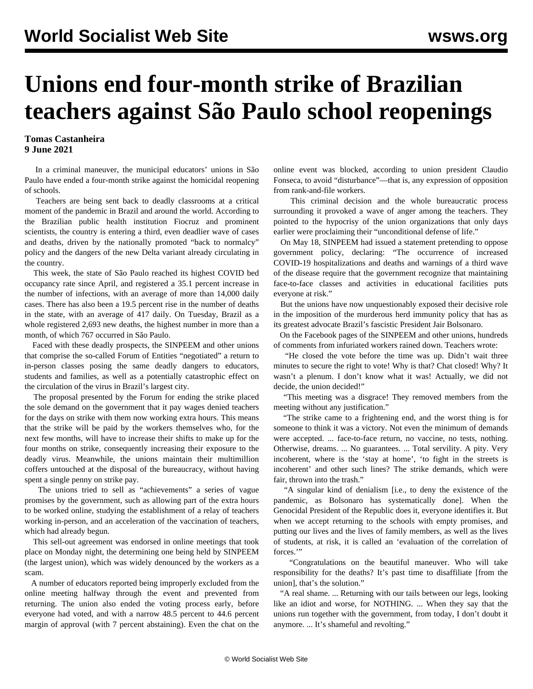## **Unions end four-month strike of Brazilian teachers against São Paulo school reopenings**

## **Tomas Castanheira 9 June 2021**

 In a criminal maneuver, the municipal educators' unions in São Paulo have ended a four-month strike against the homicidal reopening of schools.

 Teachers are being sent back to deadly classrooms at a critical moment of the pandemic in Brazil and around the world. According to the Brazilian public health institution Fiocruz and prominent scientists, the country is entering a third, even deadlier wave of cases and deaths, driven by the nationally promoted "back to normalcy" policy and the dangers of the new Delta variant already circulating in the country.

 This week, the state of São Paulo reached its highest COVID bed occupancy rate since April, and registered a 35.1 percent increase in the number of infections, with an average of more than 14,000 daily cases. There has also been a 19.5 percent rise in the number of deaths in the state, with an average of 417 daily. On Tuesday, Brazil as a whole registered 2,693 new deaths, the highest number in more than a month, of which 767 occurred in São Paulo.

 Faced with these deadly prospects, the SINPEEM and other unions that comprise the so-called Forum of Entities "negotiated" a return to in-person classes posing the same deadly dangers to educators, students and families, as well as a potentially catastrophic effect on the circulation of the virus in Brazil's largest city.

 The proposal presented by the Forum for ending the strike placed the sole demand on the government that it pay wages denied teachers for the days on strike with them now working extra hours. This means that the strike will be paid by the workers themselves who, for the next few months, will have to increase their shifts to make up for the four months on strike, consequently increasing their exposure to the deadly virus. Meanwhile, the unions maintain their multimillion coffers untouched at the disposal of the bureaucracy, without having spent a single penny on strike pay.

 The unions tried to sell as "achievements" a series of vague promises by the government, such as allowing part of the extra hours to be worked online, studying the establishment of a relay of teachers working in-person, and an acceleration of the vaccination of teachers, which had already begun.

 This sell-out agreement was endorsed in online meetings that took place on Monday night, the determining one being held by SINPEEM (the largest union), which was widely denounced by the workers as a scam.

 A number of educators reported being improperly excluded from the online meeting halfway through the event and prevented from returning. The union also ended the voting process early, before everyone had voted, and with a narrow 48.5 percent to 44.6 percent margin of approval (with 7 percent abstaining). Even the chat on the online event was blocked, according to union president Claudio Fonseca, to avoid "disturbance"—that is, any expression of opposition from rank-and-file workers.

 This criminal decision and the whole bureaucratic process surrounding it provoked a wave of anger among the teachers. They pointed to the hypocrisy of the union organizations that only days earlier were proclaiming their "unconditional defense of life."

 On May 18, SINPEEM had issued a statement pretending to oppose government policy, declaring: "The occurrence of increased COVID-19 hospitalizations and deaths and warnings of a third wave of the disease require that the government recognize that maintaining face-to-face classes and activities in educational facilities puts everyone at risk."

 But the unions have now unquestionably exposed their decisive role in the imposition of the murderous herd immunity policy that has as its greatest advocate Brazil's fascistic President Jair Bolsonaro.

 On the Facebook pages of the SINPEEM and other unions, hundreds of comments from infuriated workers rained down. Teachers wrote:

 "He closed the vote before the time was up. Didn't wait three minutes to secure the right to vote! Why is that? Chat closed! Why? It wasn't a plenum. I don't know what it was! Actually, we did not decide, the union decided!"

 "This meeting was a disgrace! They removed members from the meeting without any justification."

 "The strike came to a frightening end, and the worst thing is for someone to think it was a victory. Not even the minimum of demands were accepted. ... face-to-face return, no vaccine, no tests, nothing. Otherwise, dreams. ... No guarantees. ... Total servility. A pity. Very incoherent, where is the 'stay at home', 'to fight in the streets is incoherent' and other such lines? The strike demands, which were fair, thrown into the trash."

 "A singular kind of denialism [i.e., to deny the existence of the pandemic, as Bolsonaro has systematically done]. When the Genocidal President of the Republic does it, everyone identifies it. But when we accept returning to the schools with empty promises, and putting our lives and the lives of family members, as well as the lives of students, at risk, it is called an 'evaluation of the correlation of forces.'"

 "Congratulations on the beautiful maneuver. Who will take responsibility for the deaths? It's past time to disaffiliate [from the union], that's the solution."

 "A real shame. ... Returning with our tails between our legs, looking like an idiot and worse, for NOTHING. ... When they say that the unions run together with the government, from today, I don't doubt it anymore. ... It's shameful and revolting."